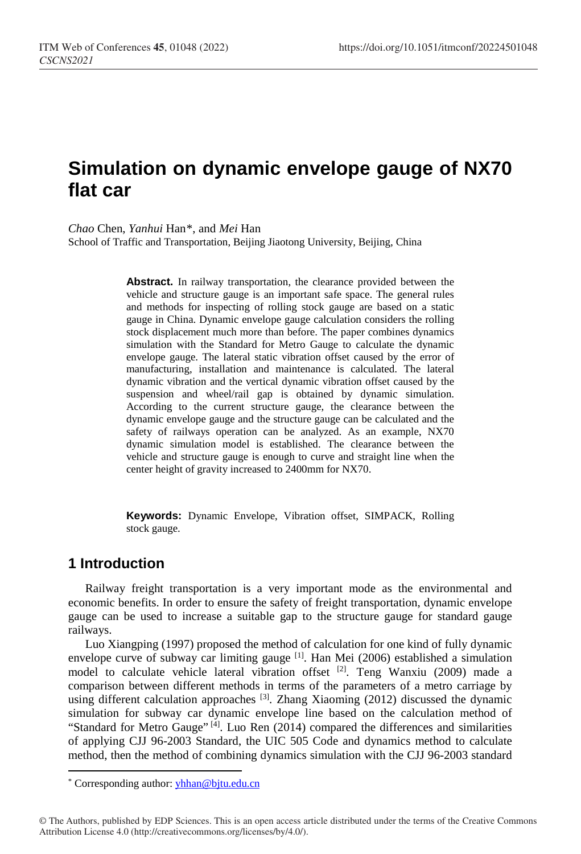# **Simulation on dynamic envelope gauge of NX70 flat car**

*Chao* Chen, *Yanhui* Han[\\*,](#page-0-0) and *Mei* Han

School of Traffic and Transportation, Beijing Jiaotong University, Beijing, China

**Abstract.** In railway transportation, the clearance provided between the vehicle and structure gauge is an important safe space. The general rules and methods for inspecting of rolling stock gauge are based on a static gauge in China. Dynamic envelope gauge calculation considers the rolling stock displacement much more than before. The paper combines dynamics simulation with the Standard for Metro Gauge to calculate the dynamic envelope gauge. The lateral static vibration offset caused by the error of manufacturing, installation and maintenance is calculated. The lateral dynamic vibration and the vertical dynamic vibration offset caused by the suspension and wheel/rail gap is obtained by dynamic simulation. According to the current structure gauge, the clearance between the dynamic envelope gauge and the structure gauge can be calculated and the safety of railways operation can be analyzed. As an example, NX70 dynamic simulation model is established. The clearance between the vehicle and structure gauge is enough to curve and straight line when the center height of gravity increased to 2400mm for NX70.

**Keywords:** Dynamic Envelope, Vibration offset, SIMPACK, Rolling stock gauge.

## **1 Introduction**

 $\overline{a}$ 

Railway freight transportation is a very important mode as the environmental and economic benefits. In order to ensure the safety of freight transportation, dynamic envelope gauge can be used to increase a suitable gap to the structure gauge for standard gauge railways.

Luo Xiangping (1997) proposed the method of calculation for one kind of fully dynamic envelope curve of subway car limiting gauge  $[1]$ . Han Mei (2006) established a simulation model to calculate vehicle lateral vibration offset [2]. Teng Wanxiu (2009) made a comparison between different methods in terms of the parameters of a metro carriage by using different calculation approaches <sup>[3]</sup>. Zhang Xiaoming (2012) discussed the dynamic simulation for subway car dynamic envelope line based on the calculation method of "Standard for Metro Gauge"  $^{[4]}$ . Luo Ren (2014) compared the differences and similarities of applying CJJ 96-2003 Standard, the UIC 505 Code and dynamics method to calculate method, then the method of combining dynamics simulation with the CJJ 96-2003 standard

<span id="page-0-0"></span><sup>\*</sup> Corresponding author: yhhan@bjtu.edu.cn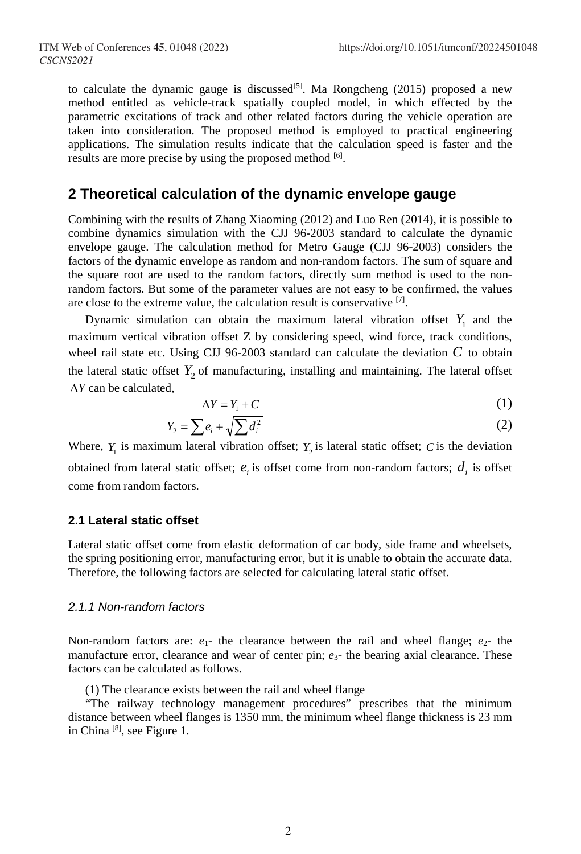to calculate the dynamic gauge is discussed<sup>[5]</sup>. Ma Rongcheng (2015) proposed a new method entitled as vehicle-track spatially coupled model, in which effected by the parametric excitations of track and other related factors during the vehicle operation are taken into consideration. The proposed method is employed to practical engineering applications. The simulation results indicate that the calculation speed is faster and the results are more precise by using the proposed method [6].

### **2 Theoretical calculation of the dynamic envelope gauge**

Combining with the results of Zhang Xiaoming (2012) and Luo Ren (2014), it is possible to combine dynamics simulation with the CJJ 96-2003 standard to calculate the dynamic envelope gauge. The calculation method for Metro Gauge (CJJ 96-2003) considers the factors of the dynamic envelope as random and non-random factors. The sum of square and the square root are used to the random factors, directly sum method is used to the nonrandom factors. But some of the parameter values are not easy to be confirmed, the values are close to the extreme value, the calculation result is conservative [7].

Dynamic simulation can obtain the maximum lateral vibration offset  $Y_1$  and the maximum vertical vibration offset Z by considering speed, wind force, track conditions, wheel rail state etc. Using CJJ 96-2003 standard can calculate the deviation  $C$  to obtain the lateral static offset  $Y_2$  of manufacturing, installing and maintaining. The lateral offset ∆*Y* can be calculated,

$$
\Delta Y = Y_1 + C \tag{1}
$$

$$
Y_2 = \sum e_i + \sqrt{\sum d_i^2} \tag{2}
$$

Where,  $Y_1$  is maximum lateral vibration offset;  $Y_2$  is lateral static offset; *C* is the deviation obtained from lateral static offset;  $e_i$  is offset come from non-random factors;  $d_i$  is offset come from random factors.

#### **2.1 Lateral static offset**

Lateral static offset come from elastic deformation of car body, side frame and wheelsets, the spring positioning error, manufacturing error, but it is unable to obtain the accurate data. Therefore, the following factors are selected for calculating lateral static offset.

#### *2.1.1 Non-random factors*

Non-random factors are:  $e_1$ - the clearance between the rail and wheel flange;  $e_2$ - the manufacture error, clearance and wear of center pin;  $e_3$ - the bearing axial clearance. These factors can be calculated as follows.

(1) The clearance exists between the rail and wheel flange

"The railway technology management procedures" prescribes that the minimum distance between wheel flanges is 1350 mm, the minimum wheel flange thickness is 23 mm in China [8], see Figure 1.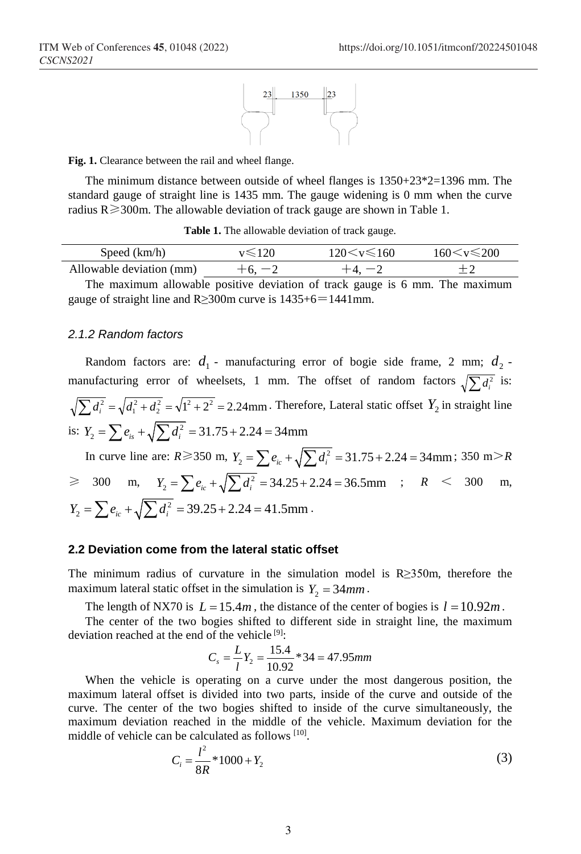

**Fig. 1.** Clearance between the rail and wheel flange.

The minimum distance between outside of wheel flanges is 1350+23\*2=1396 mm. The standard gauge of straight line is 1435 mm. The gauge widening is 0 mm when the curve radius  $R \ge 300$ m. The allowable deviation of track gauge are shown in Table 1.

**Table 1.** The allowable deviation of track gauge.

| Speed (km/h)             |          | $120 \leq v \leq 160$ | 160 $\leq v \leq 200$ |
|--------------------------|----------|-----------------------|-----------------------|
| Allowable deviation (mm) | $+6. -2$ |                       |                       |
|                          |          |                       |                       |

The maximum allowable positive deviation of track gauge is 6 mm. The maximum gauge of straight line and R≥300m curve is 1435+6=1441mm.

#### *2.1.2 Random factors*

Random factors are:  $d_1$  - manufacturing error of bogie side frame, 2 mm;  $d_2$  manufacturing error of wheelsets, 1 mm. The offset of random factors  $\sqrt{\sum d_i^2}$  is:  $\sum d_i^2 = \sqrt{d_1^2 + d_2^2} = \sqrt{1^2 + 2^2} = 2.24$ mm. Therefore, Lateral static offset  $Y_2$  in straight line is:  $Y_2 = \sum e_{is} + \sqrt{\sum d_i^2} = 31.75 + 2.24 = 34 \text{mm}$ In curve line are:  $R \ge 350$  m,  $Y_2 = \sum e_{ic} + \sqrt{\sum d_i^2} = 31.75 + 2.24 = 34$ mm; 350 m $\ge R$  $\geq$  300 m,  $Y_2 = \sum e_{ic} + \sqrt{\sum d_i^2} = 34.25 + 2.24 = 36.5 \text{mm}$  ;  $R < 300 \text{ m}$ ,  $Y_2 = \sum e_{ic} + \sqrt{\sum d_i^2} = 39.25 + 2.24 = 41.5$ mm.

#### **2.2 Deviation come from the lateral static offset**

The minimum radius of curvature in the simulation model is R≥350m, therefore the maximum lateral static offset in the simulation is  $Y_2 = 34$ *mm*.

The length of NX70 is  $L = 15.4m$ , the distance of the center of bogies is  $l = 10.92m$ .

The center of the two bogies shifted to different side in straight line, the maximum deviation reached at the end of the vehicle  $[9]$ :

$$
C_s = \frac{L}{l}Y_2 = \frac{15.4}{10.92} \cdot 34 = 47.95 \, \text{mm}
$$

When the vehicle is operating on a curve under the most dangerous position, the maximum lateral offset is divided into two parts, inside of the curve and outside of the curve. The center of the two bogies shifted to inside of the curve simultaneously, the maximum deviation reached in the middle of the vehicle. Maximum deviation for the middle of vehicle can be calculated as follows [10].

$$
C_i = \frac{l^2}{8R} * 1000 + Y_2
$$
 (3)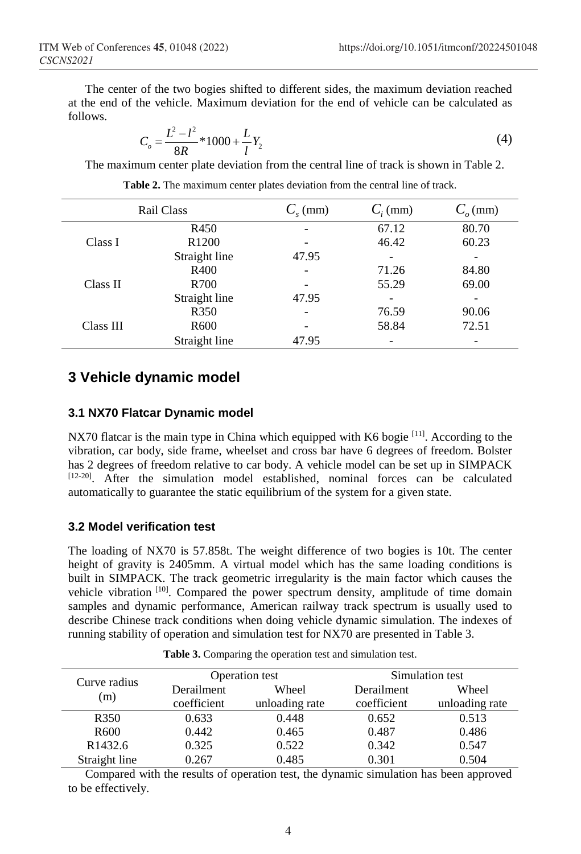The center of the two bogies shifted to different sides, the maximum deviation reached at the end of the vehicle. Maximum deviation for the end of vehicle can be calculated as follows.

$$
C_o = \frac{L^2 - l^2}{8R} * 1000 + \frac{L}{l} Y_2
$$
\n(4)

The maximum center plate deviation from the central line of track is shown in Table 2.

|           | Rail Class        | $C_{\rm c}$ (mm) | $C_i$ (mm) | $C_{o}$ (mm) |
|-----------|-------------------|------------------|------------|--------------|
|           | R450              |                  | 67.12      | 80.70        |
| Class I   | R <sub>1200</sub> |                  | 46.42      | 60.23        |
|           | Straight line     | 47.95            |            |              |
|           | R400              |                  | 71.26      | 84.80        |
| Class II  | R700              |                  | 55.29      | 69.00        |
|           | Straight line     | 47.95            |            |              |
|           | R350              |                  | 76.59      | 90.06        |
| Class III | R600              |                  | 58.84      | 72.51        |
|           | Straight line     | 47.95            |            |              |

|  | <b>Table 2.</b> The maximum center plates deviation from the central line of track. |  |  |  |  |  |
|--|-------------------------------------------------------------------------------------|--|--|--|--|--|
|  |                                                                                     |  |  |  |  |  |

# **3 Vehicle dynamic model**

### **3.1 NX70 Flatcar Dynamic model**

NX70 flatcar is the main type in China which equipped with K6 bogie  $[11]$ . According to the vibration, car body, side frame, wheelset and cross bar have 6 degrees of freedom. Bolster has 2 degrees of freedom relative to car body. A vehicle model can be set up in SIMPACK [12-20]. After the simulation model established, nominal forces can be calculated automatically to guarantee the static equilibrium of the system for a given state.

### **3.2 Model verification test**

The loading of NX70 is 57.858t. The weight difference of two bogies is 10t. The center height of gravity is 2405mm. A virtual model which has the same loading conditions is built in SIMPACK. The track geometric irregularity is the main factor which causes the vehicle vibration [10]. Compared the power spectrum density, amplitude of time domain samples and dynamic performance, American railway track spectrum is usually used to describe Chinese track conditions when doing vehicle dynamic simulation. The indexes of running stability of operation and simulation test for NX70 are presented in Table 3.

| Curve radius<br>(m) |             | Operation test | Simulation test |                |  |  |
|---------------------|-------------|----------------|-----------------|----------------|--|--|
|                     | Derailment  | Wheel          | Derailment      | Wheel          |  |  |
|                     | coefficient | unloading rate | coefficient     | unloading rate |  |  |
| R350                | 0.633       | 0.448          | 0.652           | 0.513          |  |  |

Table 3. Comparing the operation test and simulation test.

Compared with the results of operation test, the dynamic simulation has been approved to be effectively.

R600 0.442 0.465 0.487 0.486 R1432.6 0.325 0.522 0.342 0.547 Straight line  $0.267$  0.485 0.301 0.504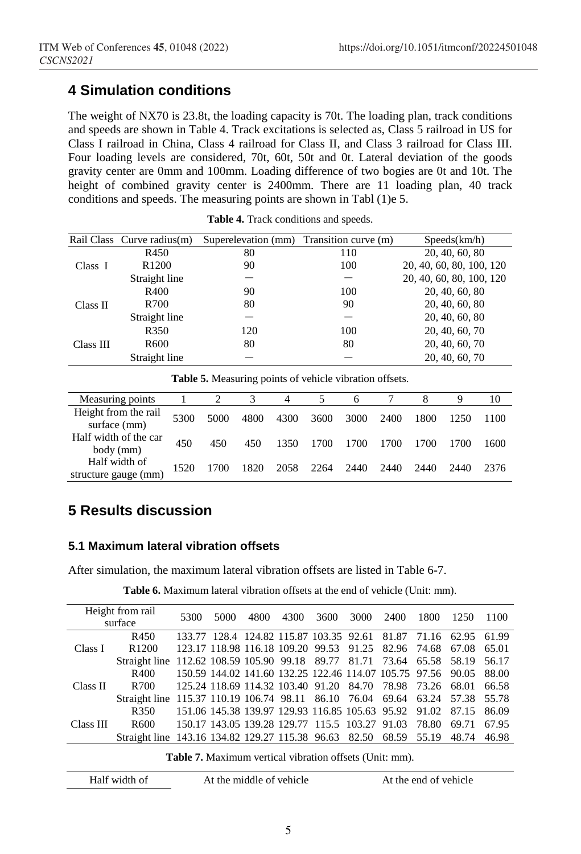# **4 Simulation conditions**

The weight of NX70 is 23.8t, the loading capacity is 70t. The loading plan, track conditions and speeds are shown in Table 4. Track excitations is selected as, Class 5 railroad in US for Class I railroad in China, Class 4 railroad for Class II, and Class 3 railroad for Class III. Four loading levels are considered, 70t, 60t, 50t and 0t. Lateral deviation of the goods gravity center are 0mm and 100mm. Loading difference of two bogies are 0t and 10t. The height of combined gravity center is 2400mm. There are 11 loading plan, 40 track conditions and speeds. The measuring points are shown in Tabl (1)e 5.

|           | Rail Class Curve radius(m) | Superelevation (mm) | Transition curve (m) | Speeds(km/h)             |
|-----------|----------------------------|---------------------|----------------------|--------------------------|
| Class I   | R450                       | 80                  | 110                  | 20, 40, 60, 80           |
|           | R <sub>1200</sub>          | 90                  | 100                  | 20, 40, 60, 80, 100, 120 |
|           | Straight line              |                     |                      | 20, 40, 60, 80, 100, 120 |
| Class II  | R400                       | 90                  | 100                  | 20, 40, 60, 80           |
|           | R700                       | 80                  | 90                   | 20, 40, 60, 80           |
|           | Straight line              |                     |                      | 20, 40, 60, 80           |
| Class III | R <sub>350</sub>           | 120                 | 100                  | 20, 40, 60, 70           |
|           | R600                       | 80                  | 80                   | 20, 40, 60, 70           |
|           | Straight line              |                     |                      | 20, 40, 60, 70           |

**Table 4.** Track conditions and speeds.

**Table 5.** Measuring points of vehicle vibration offsets.

| Measuring points                      |      |      |      |      |      |      |      |      | Q    | 10   |
|---------------------------------------|------|------|------|------|------|------|------|------|------|------|
| Height from the rail<br>surface (mm)  | 5300 | 5000 | 4800 | 4300 | 3600 | 3000 | 2400 | 1800 | 1250 | 1100 |
| Half width of the car<br>body (mm)    | 450  | 450  | 450  | 1350 | 1700 | 1700 | 1700 | 1700 | 1700 | 1600 |
| Half width of<br>structure gauge (mm) | 1520 | 1700 | 1820 | 2058 | 2264 | 2440 | 2440 | 2440 | 2440 | 2376 |

# **5 Results discussion**

### **5.1 Maximum lateral vibration offsets**

After simulation, the maximum lateral vibration offsets are listed in Table 6-7.

| Height from rail<br>surface |                                                                        | 5300 | 5000 | 4800                                           | 4300 | 3600 | 3000 | 2400                                                         | 1800  | 1250  | 1100  |
|-----------------------------|------------------------------------------------------------------------|------|------|------------------------------------------------|------|------|------|--------------------------------------------------------------|-------|-------|-------|
|                             |                                                                        |      |      |                                                |      |      |      |                                                              |       |       |       |
|                             | R450                                                                   |      |      |                                                |      |      |      | 133.77 128.4 124.82 115.87 103.35 92.61 81.87 71.16 62.95    |       |       | 61.99 |
| Class I                     | R <sub>1200</sub>                                                      |      |      |                                                |      |      |      | 123.17 118.98 116.18 109.20 99.53 91.25 82.96 74.68          |       | 67.08 | 65.01 |
|                             | Straight line 112.62 108.59 105.90 99.18 89.77 81.71 73.64 65.58 58.19 |      |      |                                                |      |      |      |                                                              |       |       | 56.17 |
|                             | R400                                                                   |      |      |                                                |      |      |      | 150.59 144.02 141.60 132.25 122.46 114.07 105.75 97.56 90.05 |       |       | 88.00 |
| Class II                    | R700                                                                   |      |      |                                                |      |      |      | 125.24 118.69 114.32 103.40 91.20 84.70 78.98 73.26 68.01    |       |       | 66.58 |
|                             | Straight line 115.37 110.19 106.74 98.11 86.10 76.04 69.64 63.24 57.38 |      |      |                                                |      |      |      |                                                              |       |       | 55.78 |
|                             | R350                                                                   |      |      |                                                |      |      |      | 151.06 145.38 139.97 129.93 116.85 105.63 95.92 91.02        |       | 87.15 | 86.09 |
| Class III                   | R <sub>600</sub>                                                       |      |      | 150.17 143.05 139.28 129.77 115.5 103.27 91.03 |      |      |      |                                                              | 78.80 | 69.71 | 67.95 |
|                             | Straight line 143.16 134.82 129.27 115.38 96.63 82.50 68.59 55.19      |      |      |                                                |      |      |      |                                                              |       | 48.74 | 46.98 |
|                             |                                                                        |      |      |                                                |      |      |      |                                                              |       |       |       |

**Table 6.** Maximum lateral vibration offsets at the end of vehicle (Unit: mm).

**Table 7.** Maximum vertical vibration offsets (Unit: mm).

Half width of At the middle of vehicle At the end of vehicle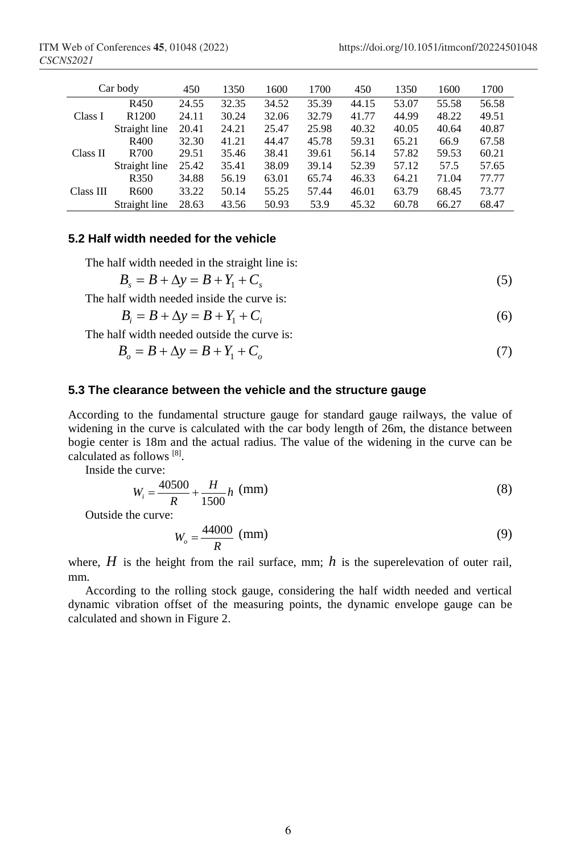| Car body  |                   | 450   | 1350  | 1600  | 1700  | 450   | 1350  | 1600  | 1700  |
|-----------|-------------------|-------|-------|-------|-------|-------|-------|-------|-------|
| Class I   | R450              | 24.55 | 32.35 | 34.52 | 35.39 | 44.15 | 53.07 | 55.58 | 56.58 |
|           | R <sub>1200</sub> | 24.11 | 30.24 | 32.06 | 32.79 | 41.77 | 44.99 | 48.22 | 49.51 |
|           | Straight line     | 20.41 | 24.21 | 25.47 | 25.98 | 40.32 | 40.05 | 40.64 | 40.87 |
|           | R400              | 32.30 | 41.21 | 44.47 | 45.78 | 59.31 | 65.21 | 66.9  | 67.58 |
| Class II  | R700              | 29.51 | 35.46 | 38.41 | 39.61 | 56.14 | 57.82 | 59.53 | 60.21 |
|           | Straight line     | 25.42 | 35.41 | 38.09 | 39.14 | 52.39 | 57.12 | 57.5  | 57.65 |
| Class III | R <sub>350</sub>  | 34.88 | 56.19 | 63.01 | 65.74 | 46.33 | 64.21 | 71.04 | 77.77 |
|           | R <sub>600</sub>  | 33.22 | 50.14 | 55.25 | 57.44 | 46.01 | 63.79 | 68.45 | 73.77 |
|           | Straight line     | 28.63 | 43.56 | 50.93 | 53.9  | 45.32 | 60.78 | 66.27 | 68.47 |

### **5.2 Half width needed for the vehicle**

The half width needed in the straight line is:

$$
B_s = B + \Delta y = B + Y_1 + C_s
$$
 (5)  
The half width needed inside the curve is:

$$
B_i = B + \Delta y = B + Y_1 + C_i \tag{6}
$$

The half width needed outside the curve is:

$$
B_o = B + \Delta y = B + Y_1 + C_o \tag{7}
$$

#### **5.3 The clearance between the vehicle and the structure gauge**

According to the fundamental structure gauge for standard gauge railways, the value of widening in the curve is calculated with the car body length of 26m, the distance between bogie center is 18m and the actual radius. The value of the widening in the curve can be calculated as follows [8].

Inside the curve:

$$
W_i = \frac{40500}{R} + \frac{H}{1500}h \text{ (mm)}\tag{8}
$$

Outside the curve:

$$
W_o = \frac{44000}{R} \text{ (mm)}\tag{9}
$$

where,  $H$  is the height from the rail surface, mm;  $h$  is the superelevation of outer rail, mm.

According to the rolling stock gauge, considering the half width needed and vertical dynamic vibration offset of the measuring points, the dynamic envelope gauge can be calculated and shown in Figure 2.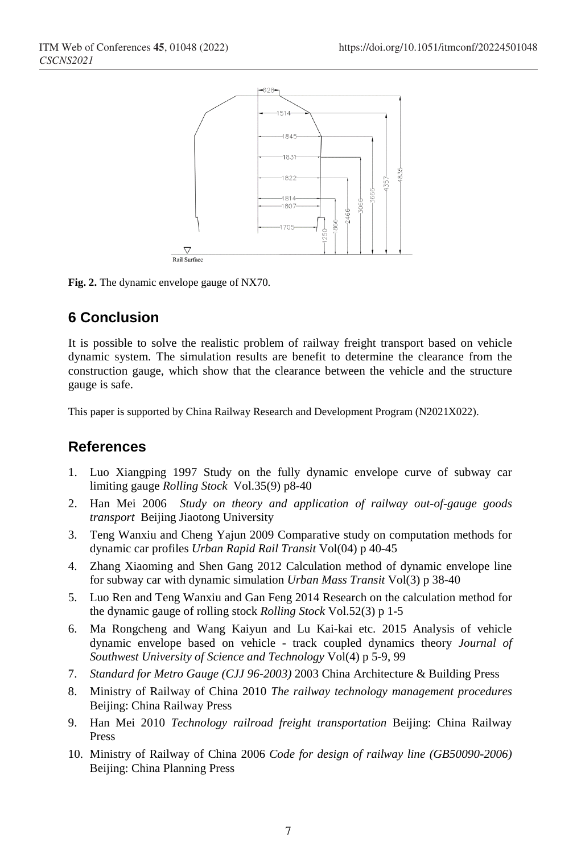

**Fig. 2.** The dynamic envelope gauge of NX70.

# **6 Conclusion**

It is possible to solve the realistic problem of railway freight transport based on vehicle dynamic system. The simulation results are benefit to determine the clearance from the construction gauge, which show that the clearance between the vehicle and the structure gauge is safe.

This paper is supported by China Railway Research and Development Program (N2021X022).

## **References**

- 1. Luo Xiangping 1997 Study on the fully dynamic envelope curve of subway car limiting gauge *Rolling Stock* Vol.35(9) p8-40
- 2. Han Mei 2006 *Study on theory and application of railway out-of-gauge goods transport* Beijing Jiaotong University
- 3. Teng Wanxiu and Cheng Yajun 2009 Comparative study on computation methods for dynamic car profiles *Urban Rapid Rail Transit* Vol(04) p 40-45
- 4. Zhang Xiaoming and Shen Gang 2012 Calculation method of dynamic envelope line for subway car with dynamic simulation *Urban Mass Transit* Vol(3) p 38-40
- 5. Luo Ren and Teng Wanxiu and Gan Feng 2014 Research on the calculation method for the dynamic gauge of rolling stock *Rolling Stock* Vol.52(3) p 1-5
- 6. Ma Rongcheng and Wang Kaiyun and Lu Kai-kai etc. 2015 Analysis of vehicle dynamic envelope based on vehicle - track coupled dynamics theory *Journal of Southwest University of Science and Technology* Vol(4) p 5-9, 99
- 7. *Standard for Metro Gauge (CJJ 96-2003)* 2003 China Architecture & Building Press
- 8. Ministry of Railway of China 2010 *The railway technology management procedures* Beijing: China Railway Press
- 9. Han Mei 2010 *Technology railroad freight transportation* Beijing: China Railway Press
- 10. Ministry of Railway of China 2006 *Code for design of railway line (GB50090-2006)* Beijing: China Planning Press